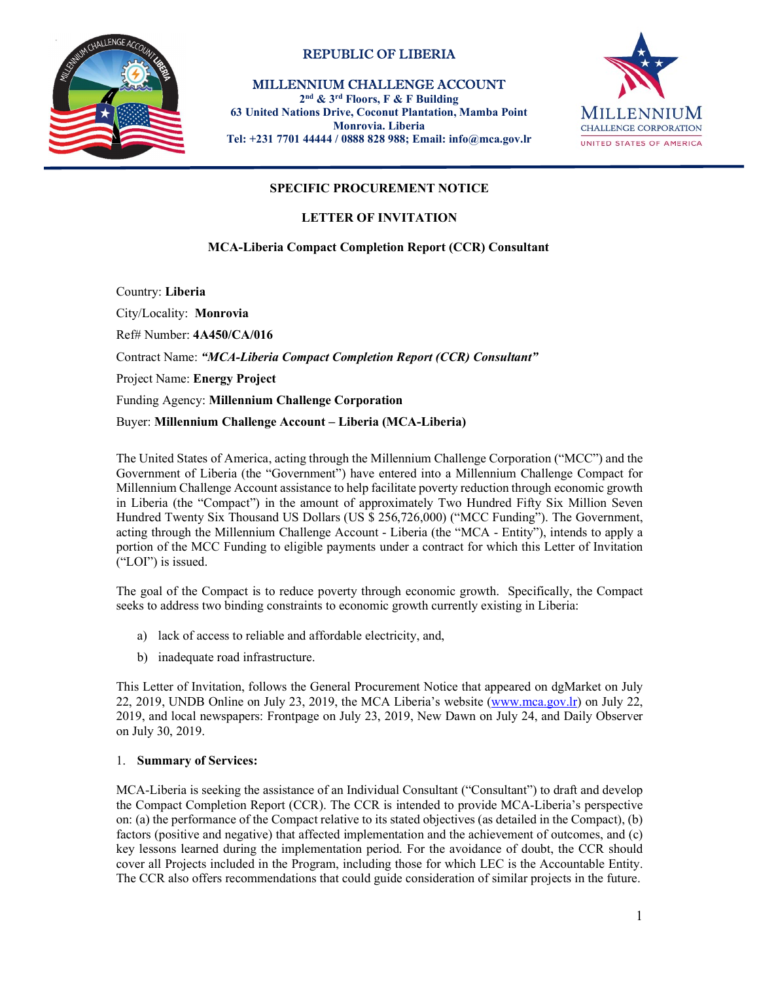

# REPUBLIC OF LIBERIA

MILLENNIUM CHALLENGE ACCOUNT

2nd & 3rd Floors, F & F Building 63 United Nations Drive, Coconut Plantation, Mamba Point Monrovia. Liberia Tel: +231 7701 44444 / 0888 828 988; Email: info@mca.gov.lr



## SPECIFIC PROCUREMENT NOTICE

## LETTER OF INVITATION

## MCA-Liberia Compact Completion Report (CCR) Consultant

Country: Liberia

City/Locality: Monrovia Ref# Number: 4A450/CA/016 Contract Name: "MCA-Liberia Compact Completion Report (CCR) Consultant" Project Name: Energy Project Funding Agency: Millennium Challenge Corporation<br>Buyer: Millennium Challenge Account – Liberia (MCA-Liberia)

The United States of America, acting through the Millennium Challenge Corporation ("MCC") and the Government of Liberia (the "Government") have entered into a Millennium Challenge Compact for Millennium Challenge Account assistance to help facilitate poverty reduction through economic growth in Liberia (the "Compact") in the amount of approximately Two Hundred Fifty Six Million Seven Hundred Twenty Six Thousand US Dollars (US \$ 256,726,000) ("MCC Funding"). The Government, acting through the Millennium Challenge Account - Liberia (the "MCA - Entity"), intends to apply a portion of the MCC Funding to eligible payments under a contract for which this Letter of Invitation ("LOI") is issued.

The goal of the Compact is to reduce poverty through economic growth. Specifically, the Compact seeks to address two binding constraints to economic growth currently existing in Liberia:

- a) lack of access to reliable and affordable electricity, and,
- b) inadequate road infrastructure.

This Letter of Invitation, follows the General Procurement Notice that appeared on dgMarket on July 22, 2019, UNDB Online on July 23, 2019, the MCA Liberia's website (www.mca.gov.lr) on July 22, 2019, and local newspapers: Frontpage on July 23, 2019, New Dawn on July 24, and Daily Observer on July 30, 2019.

#### 1. Summary of Services:

MCA-Liberia is seeking the assistance of an Individual Consultant ("Consultant") to draft and develop the Compact Completion Report (CCR). The CCR is intended to provide MCA-Liberia's perspective on: (a) the performance of the Compact relative to its stated objectives (as detailed in the Compact), (b) factors (positive and negative) that affected implementation and the achievement of outcomes, and (c) key lessons learned during the implementation period. For the avoidance of doubt, the CCR should cover all Projects included in the Program, including those for which LEC is the Accountable Entity. The CCR also offers recommendations that could guide consideration of similar projects in the future.